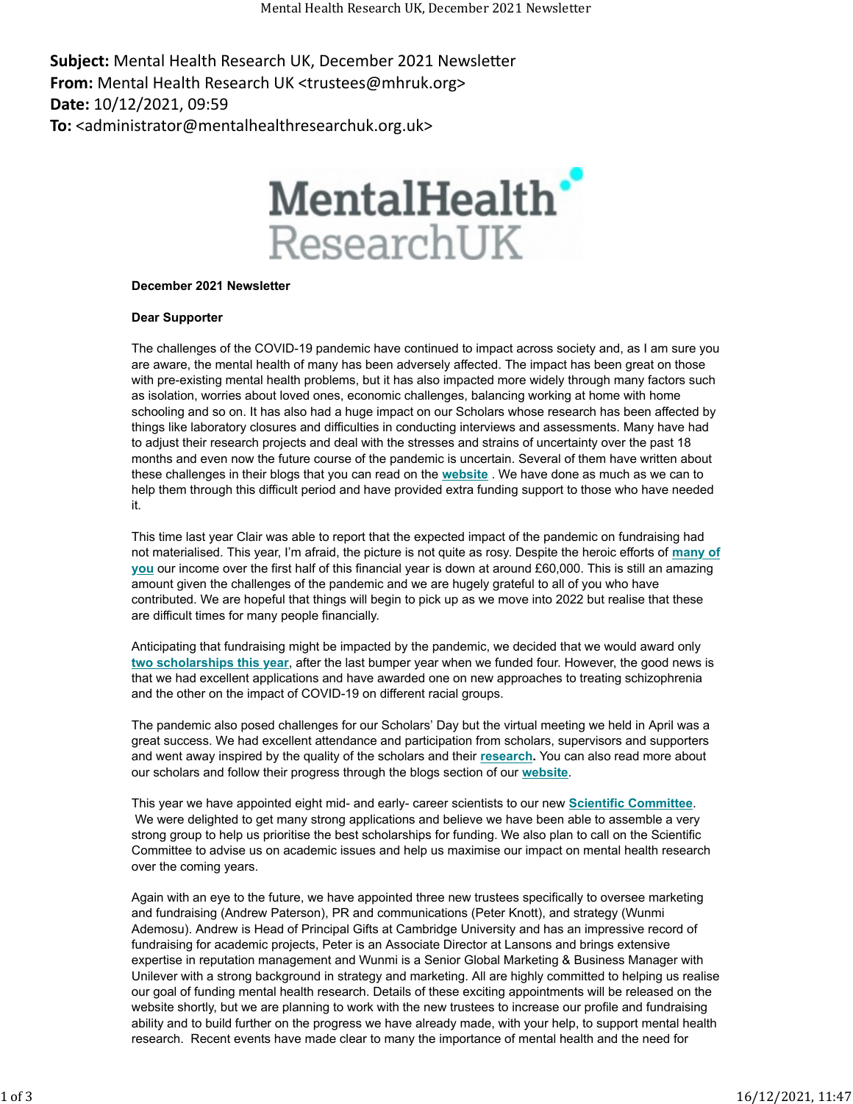Subject: Mental Health Research UK, December 2021 Newsletter **From:** Mental Health Research UK <trustees@mhruk.org> **Date:** 10/12/2021, 09:59 **To:** <administrator@mentalhealthresearchuk.org.uk>

## MentalHealth<sup>\*</sup> ResearchUK

## **December 2021 Newsletter**

## **Dear Supporter**

The challenges of the COVID-19 pandemic have continued to impact across society and, as I am sure you are aware, the mental health of many has been adversely affected. The impact has been great on those with pre-existing mental health problems, but it has also impacted more widely through many factors such as isolation, worries about loved ones, economic challenges, balancing working at home with home schooling and so on. It has also had a huge impact on our Scholars whose research has been affected by things like laboratory closures and difficulties in conducting interviews and assessments. Many have had to adjust their research projects and deal with the stresses and strains of uncertainty over the past 18 months and even now the future course of the pandemic is uncertain. Several of them have written about these challenges in their blogs that you can read on the **[website](https://mhruk.us3.list-manage.com/track/click?u=9f597992504bbc9467a09e2ad&id=5c5473d10f&e=653c95db77)** . We have done as much as we can to help them through this difficult period and have provided extra funding support to those who have needed it.

This time last year Clair was able to report that the expected impact of the pandemic on fundraising had not materialised. This year, I'm afraid, the picture is not quite as rosy. Despite the heroic efforts of **[many of](https://mhruk.us3.list-manage.com/track/click?u=9f597992504bbc9467a09e2ad&id=9a40860c74&e=653c95db77) [you](https://mhruk.us3.list-manage.com/track/click?u=9f597992504bbc9467a09e2ad&id=9a40860c74&e=653c95db77)** our income over the first half of this financial year is down at around £60,000. This is still an amazing amount given the challenges of the pandemic and we are hugely grateful to all of you who have contributed. We are hopeful that things will begin to pick up as we move into 2022 but realise that these are difficult times for many people financially.

Anticipating that fundraising might be impacted by the pandemic, we decided that we would award only **[two scholarships this year](https://mhruk.us3.list-manage.com/track/click?u=9f597992504bbc9467a09e2ad&id=a7368458ec&e=653c95db77)**, after the last bumper year when we funded four. However, the good news is that we had excellent applications and have awarded one on new approaches to treating schizophrenia and the other on the impact of COVID-19 on different racial groups.

The pandemic also posed challenges for our Scholars' Day but the virtual meeting we held in April was a great success. We had excellent attendance and participation from scholars, supervisors and supporters and went away inspired by the quality of the scholars and their **[research.](https://mhruk.us3.list-manage.com/track/click?u=9f597992504bbc9467a09e2ad&id=725b7c94f3&e=653c95db77)** You can also read more about our scholars and follow their progress through the blogs section of our **[website](https://mhruk.us3.list-manage.com/track/click?u=9f597992504bbc9467a09e2ad&id=b95e2cd303&e=653c95db77)**.

This year we have appointed eight mid- and early- career scientists to our new **[Scientific Committee](https://mhruk.us3.list-manage.com/track/click?u=9f597992504bbc9467a09e2ad&id=c90d52bbd0&e=653c95db77)**. We were delighted to get many strong applications and believe we have been able to assemble a very strong group to help us prioritise the best scholarships for funding. We also plan to call on the Scientific Committee to advise us on academic issues and help us maximise our impact on mental health research over the coming years.

Again with an eye to the future, we have appointed three new trustees specifically to oversee marketing and fundraising (Andrew Paterson), PR and communications (Peter Knott), and strategy (Wunmi Ademosu). Andrew is Head of Principal Gifts at Cambridge University and has an impressive record of fundraising for academic projects, Peter is an Associate Director at Lansons and brings extensive expertise in reputation management and Wunmi is a Senior Global Marketing & Business Manager with Unilever with a strong background in strategy and marketing. All are highly committed to helping us realise our goal of funding mental health research. Details of these exciting appointments will be released on the website shortly, but we are planning to work with the new trustees to increase our profile and fundraising ability and to build further on the progress we have already made, with your help, to support mental health research. Recent events have made clear to many the importance of mental health and the need for